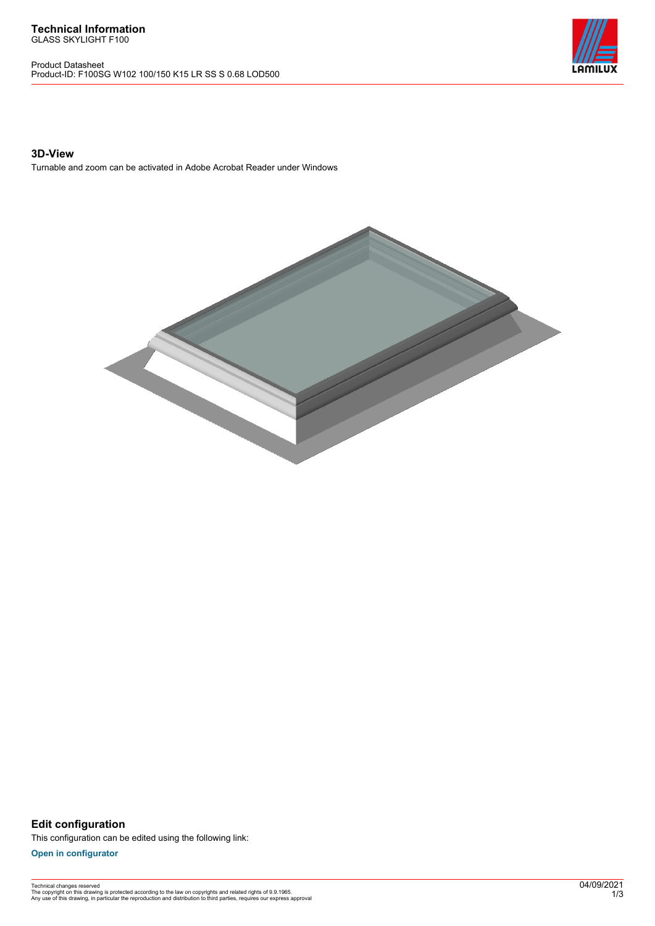Product Datasheet Product-ID: F100SG W102 100/150 K15 LR SS S 0.68 LOD500



## **3D-View**

Turnable and zoom can be activated in Adobe Acrobat Reader under Windows



**Edit configuration** This configuration can be edited using the following link:

**[Open in configurator](https://bimconfig.lamilux.com//?quickcode=SQRLIB)**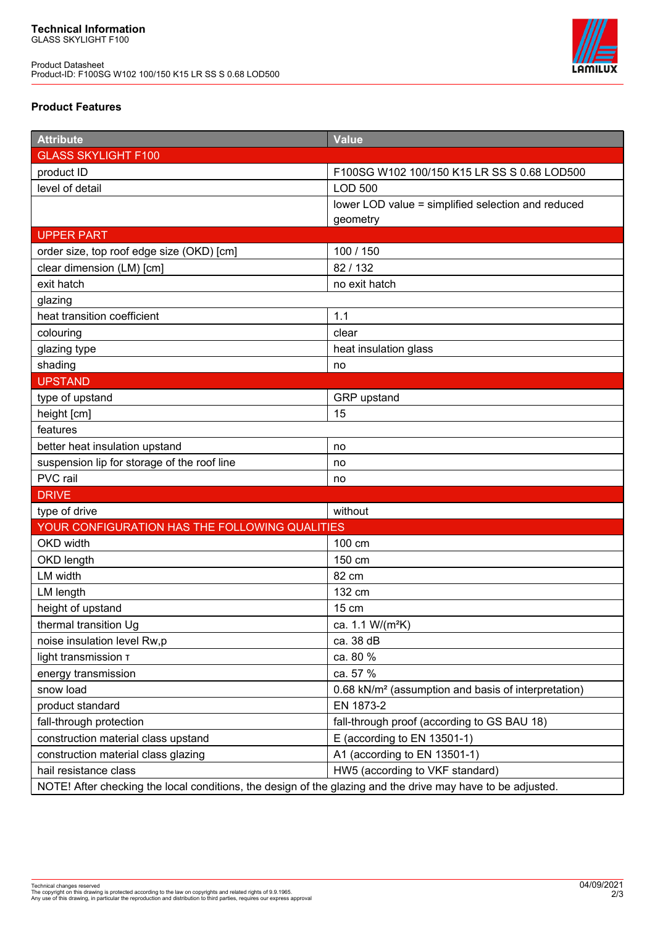Product Datasheet Product-ID: F100SG W102 100/150 K15 LR SS S 0.68 LOD500



## **Product Features**

| <b>Attribute</b>                                                                                            | <b>Value</b>                                                    |
|-------------------------------------------------------------------------------------------------------------|-----------------------------------------------------------------|
| <b>GLASS SKYLIGHT F100</b>                                                                                  |                                                                 |
| product ID                                                                                                  | F100SG W102 100/150 K15 LR SS S 0.68 LOD500                     |
| level of detail                                                                                             | <b>LOD 500</b>                                                  |
|                                                                                                             | lower LOD value = simplified selection and reduced              |
|                                                                                                             | geometry                                                        |
| <b>UPPER PART</b>                                                                                           |                                                                 |
| order size, top roof edge size (OKD) [cm]                                                                   | 100 / 150                                                       |
| clear dimension (LM) [cm]                                                                                   | 82/132                                                          |
| exit hatch                                                                                                  | no exit hatch                                                   |
| glazing                                                                                                     |                                                                 |
| heat transition coefficient                                                                                 | 1.1                                                             |
| colouring                                                                                                   | clear                                                           |
| glazing type                                                                                                | heat insulation glass                                           |
| shading                                                                                                     | no                                                              |
| <b>UPSTAND</b>                                                                                              |                                                                 |
| type of upstand                                                                                             | GRP upstand                                                     |
| height [cm]                                                                                                 | 15                                                              |
| features                                                                                                    |                                                                 |
| better heat insulation upstand                                                                              | no                                                              |
| suspension lip for storage of the roof line                                                                 | no                                                              |
| PVC rail                                                                                                    | no                                                              |
| <b>DRIVE</b>                                                                                                |                                                                 |
| type of drive                                                                                               | without                                                         |
| YOUR CONFIGURATION HAS THE FOLLOWING QUALITIES                                                              |                                                                 |
| OKD width                                                                                                   | 100 cm                                                          |
| OKD length                                                                                                  | 150 cm                                                          |
| LM width                                                                                                    | 82 cm                                                           |
| LM length                                                                                                   | 132 cm                                                          |
| height of upstand                                                                                           | 15 cm                                                           |
| thermal transition Ug                                                                                       | ca. 1.1 W/(m <sup>2</sup> K)                                    |
| noise insulation level Rw,p                                                                                 | ca. 38 dB                                                       |
| light transmission T                                                                                        | ca. 80 %                                                        |
| energy transmission                                                                                         | ca. 57 %                                                        |
| snow load                                                                                                   | 0.68 kN/m <sup>2</sup> (assumption and basis of interpretation) |
| product standard                                                                                            | EN 1873-2                                                       |
| fall-through protection                                                                                     | fall-through proof (according to GS BAU 18)                     |
| construction material class upstand                                                                         | E (according to EN 13501-1)                                     |
| construction material class glazing                                                                         | A1 (according to EN 13501-1)                                    |
| hail resistance class                                                                                       | HW5 (according to VKF standard)                                 |
| NOTE! After checking the local conditions, the design of the glazing and the drive may have to be adjusted. |                                                                 |